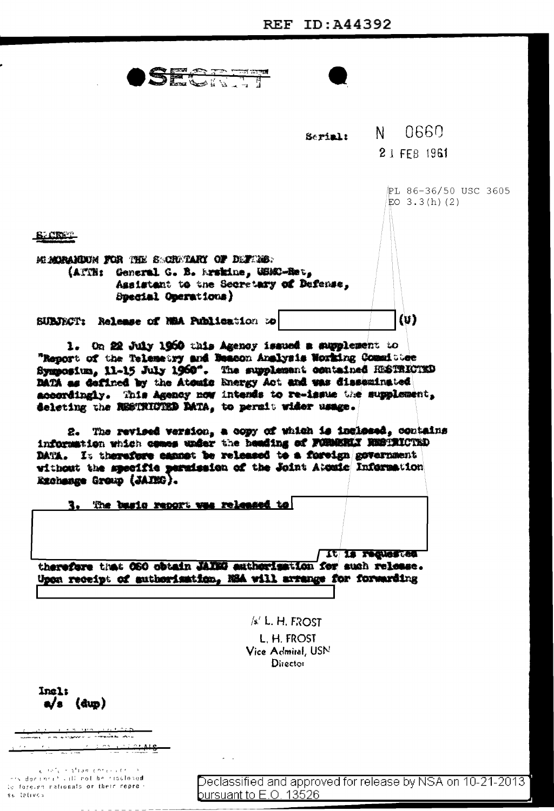SECTION

|                                                                                                                                                                                                                                                                                                                     | Serial: |                  | N 0660               |
|---------------------------------------------------------------------------------------------------------------------------------------------------------------------------------------------------------------------------------------------------------------------------------------------------------------------|---------|------------------|----------------------|
|                                                                                                                                                                                                                                                                                                                     |         |                  | 2 1 FFB 1961         |
|                                                                                                                                                                                                                                                                                                                     |         |                  | 沪L 86-36/50 USC 3605 |
|                                                                                                                                                                                                                                                                                                                     |         |                  | EO $3.3(h)$ (2)      |
| <b>SACRES</b>                                                                                                                                                                                                                                                                                                       |         |                  |                      |
| MURANDUM FOR THE SOUTHARY OF DEFINIE:                                                                                                                                                                                                                                                                               |         |                  |                      |
| (ATTH: General G. B. Arskine, USMC-Ret,                                                                                                                                                                                                                                                                             |         |                  |                      |
| Assistant to the Secretary of Defense,<br>Special Operations)                                                                                                                                                                                                                                                       |         |                  |                      |
| SUBJECT: Release of NBA Publication to                                                                                                                                                                                                                                                                              |         |                  | (v)                  |
|                                                                                                                                                                                                                                                                                                                     |         |                  |                      |
| 1. On 22 July 1960 this Agency issued a supplement to                                                                                                                                                                                                                                                               |         |                  |                      |
| "Report of the Telemetry and Beacon Analysis Working Committee                                                                                                                                                                                                                                                      |         |                  |                      |
| Symposium, 11-15 July 1960". The supplement contained RESTRICTED                                                                                                                                                                                                                                                    |         |                  |                      |
|                                                                                                                                                                                                                                                                                                                     |         |                  |                      |
| DATA as defined by the Atomic Energy Act and was disseminated                                                                                                                                                                                                                                                       |         |                  |                      |
| accordingly. This Agency now intends to re-issue the supplement,                                                                                                                                                                                                                                                    |         |                  |                      |
|                                                                                                                                                                                                                                                                                                                     |         |                  |                      |
|                                                                                                                                                                                                                                                                                                                     |         |                  |                      |
| deleting the RESTRICTED DATA, to permit wider usage.                                                                                                                                                                                                                                                                |         |                  |                      |
|                                                                                                                                                                                                                                                                                                                     |         |                  |                      |
|                                                                                                                                                                                                                                                                                                                     |         |                  |                      |
| 2. The revised version, a copy of which is inclessd, contains                                                                                                                                                                                                                                                       |         |                  |                      |
| information which comes under the heading of FORMERIX NESTRICTED                                                                                                                                                                                                                                                    |         |                  |                      |
| DATA. It therefore cannot be released to a foreign government                                                                                                                                                                                                                                                       |         |                  |                      |
| without the specific permission of the Joint Atomic Information                                                                                                                                                                                                                                                     |         |                  |                      |
| Exchange Group (JAIRO).                                                                                                                                                                                                                                                                                             |         |                  |                      |
|                                                                                                                                                                                                                                                                                                                     |         |                  |                      |
| 3. The basic report was released to                                                                                                                                                                                                                                                                                 |         |                  |                      |
|                                                                                                                                                                                                                                                                                                                     |         |                  |                      |
|                                                                                                                                                                                                                                                                                                                     |         |                  |                      |
|                                                                                                                                                                                                                                                                                                                     |         |                  |                      |
|                                                                                                                                                                                                                                                                                                                     |         | TC 28 Ledgreater |                      |
| therefore that OSO obtain JAIEG authorisation for such release.                                                                                                                                                                                                                                                     |         |                  |                      |
| Upon receipt of authorisation, NSA will arrange for forwarding                                                                                                                                                                                                                                                      |         |                  |                      |
|                                                                                                                                                                                                                                                                                                                     |         |                  |                      |
|                                                                                                                                                                                                                                                                                                                     |         |                  |                      |
| $/s$ ' L. H. FROST                                                                                                                                                                                                                                                                                                  |         |                  |                      |
| L. H. FROST                                                                                                                                                                                                                                                                                                         |         |                  |                      |
| Vice Admiral, USN                                                                                                                                                                                                                                                                                                   |         |                  |                      |
| Director                                                                                                                                                                                                                                                                                                            |         |                  |                      |
|                                                                                                                                                                                                                                                                                                                     |         |                  |                      |
| <b>Inal:</b>                                                                                                                                                                                                                                                                                                        |         |                  |                      |
| $a/s$ (dup)                                                                                                                                                                                                                                                                                                         |         |                  |                      |
|                                                                                                                                                                                                                                                                                                                     |         |                  |                      |
|                                                                                                                                                                                                                                                                                                                     |         |                  |                      |
|                                                                                                                                                                                                                                                                                                                     |         |                  |                      |
| $\frac{1}{2}$ $\frac{1}{2}$ $\frac{1}{2}$ $\frac{1}{2}$ $\frac{1}{2}$ $\frac{1}{2}$ $\frac{1}{2}$ $\frac{1}{2}$ $\frac{1}{2}$ $\frac{1}{2}$ $\frac{1}{2}$ $\frac{1}{2}$ $\frac{1}{2}$ $\frac{1}{2}$ $\frac{1}{2}$ $\frac{1}{2}$ $\frac{1}{2}$ $\frac{1}{2}$ $\frac{1}{2}$ $\frac{1}{2}$ $\frac{1}{2}$ $\frac{1}{2}$ |         |                  |                      |

 $\frac{e^{-\frac{1}{2}(\delta^2\sqrt{2}+\frac{1}{4}(\log\sqrt{2}+\delta)+\epsilon\sqrt{2}+\epsilon\sqrt{2}+\epsilon\sqrt{2}}}{\sqrt{2}(\delta+\log\sqrt{2}+\epsilon\sqrt{2}+\epsilon\sqrt{2}+\epsilon\sqrt{2}+\epsilon\sqrt{2}+\epsilon\sqrt{2}}$ to foreign rationals or their repre- $\mathfrak{s} \in \mathfrak{t}$ etivos

 $\omega = -1$ 

Declassified and approved for release by NSA on 10-21-2013 bursuant to E.O. 13526